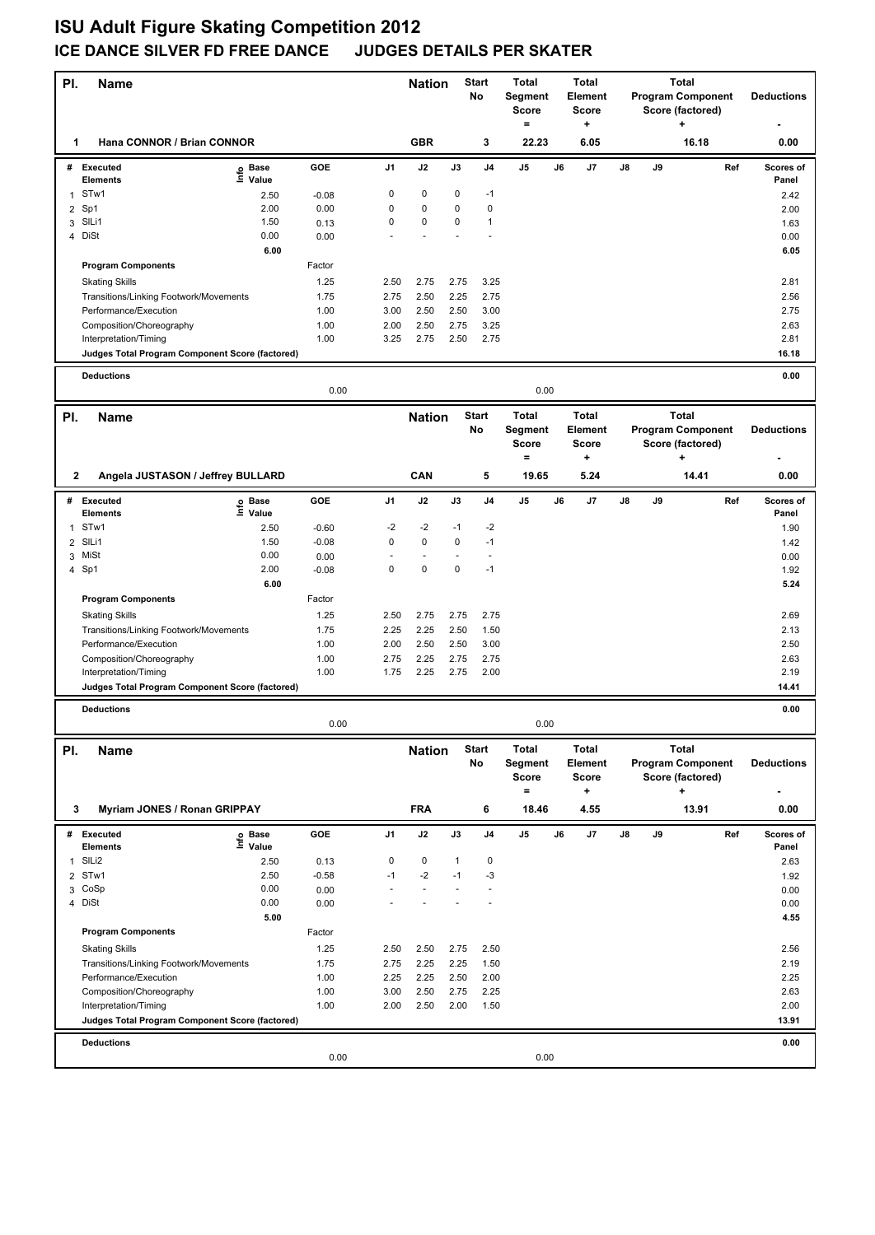## **ISU Adult Figure Skating Competition 2012 ICE DANCE SILVER FD FREE DANCE JUDGES DETAILS PER SKATER**

| PI.                 | Name                                                            |                 |                | <b>Nation</b>                 |              | <b>Start</b><br>No               | Total<br>Segment<br><b>Score</b><br>$=$ |    | <b>Total</b><br>Element<br><b>Score</b><br>÷ |    |    | Total<br><b>Program Component</b><br>Score (factored)<br>+ | <b>Deductions</b> |
|---------------------|-----------------------------------------------------------------|-----------------|----------------|-------------------------------|--------------|----------------------------------|-----------------------------------------|----|----------------------------------------------|----|----|------------------------------------------------------------|-------------------|
| 1                   | Hana CONNOR / Brian CONNOR                                      |                 |                | <b>GBR</b>                    |              | 3                                | 22.23                                   |    | 6.05                                         |    |    | 16.18                                                      | 0.00              |
|                     | # Executed<br>e Base<br>⊆ Value                                 | GOE             | J <sub>1</sub> | J2                            | J3           | J4                               | J5                                      | J6 | J7                                           | J8 | J9 | Ref                                                        | Scores of         |
|                     | Elements<br>STw1                                                |                 | 0              | 0                             | 0            | $-1$                             |                                         |    |                                              |    |    |                                                            | Panel             |
| 1                   | 2.50<br>Sp1<br>2.00                                             | $-0.08$<br>0.00 | 0              | 0                             | 0            | 0                                |                                         |    |                                              |    |    |                                                            | 2.42              |
| $\overline{2}$<br>3 | SILi1<br>1.50                                                   | 0.13            | 0              | 0                             | 0            | $\mathbf{1}$                     |                                         |    |                                              |    |    |                                                            | 2.00<br>1.63      |
|                     | 4 DiSt<br>0.00                                                  | 0.00            |                |                               |              |                                  |                                         |    |                                              |    |    |                                                            | 0.00              |
|                     |                                                                 | 6.00            |                |                               |              |                                  |                                         |    |                                              |    |    |                                                            | 6.05              |
|                     | <b>Program Components</b>                                       | Factor          |                |                               |              |                                  |                                         |    |                                              |    |    |                                                            |                   |
|                     | <b>Skating Skills</b>                                           | 1.25            | 2.50           | 2.75                          | 2.75         | 3.25                             |                                         |    |                                              |    |    |                                                            | 2.81              |
|                     | Transitions/Linking Footwork/Movements                          | 1.75            | 2.75           | 2.50                          | 2.25         | 2.75                             |                                         |    |                                              |    |    |                                                            | 2.56              |
|                     | Performance/Execution                                           | 1.00            | 3.00           | 2.50                          | 2.50         | 3.00                             |                                         |    |                                              |    |    |                                                            | 2.75              |
|                     | Composition/Choreography                                        | 1.00            | 2.00           | 2.50                          | 2.75         | 3.25                             |                                         |    |                                              |    |    |                                                            | 2.63              |
|                     | Interpretation/Timing                                           | 1.00            | 3.25           | 2.75                          | 2.50         | 2.75                             |                                         |    |                                              |    |    |                                                            | 2.81              |
|                     | Judges Total Program Component Score (factored)                 |                 |                |                               |              |                                  |                                         |    |                                              |    |    |                                                            | 16.18             |
|                     | <b>Deductions</b>                                               |                 |                |                               |              |                                  |                                         |    |                                              |    |    |                                                            | 0.00              |
|                     |                                                                 | 0.00            |                |                               |              |                                  | 0.00                                    |    |                                              |    |    |                                                            |                   |
| PI.                 | <b>Name</b>                                                     |                 |                | <b>Nation</b>                 |              | <b>Start</b>                     | Total                                   |    | <b>Total</b>                                 |    |    | <b>Total</b>                                               |                   |
|                     |                                                                 |                 |                |                               |              | No                               | Segment                                 |    | <b>Element</b>                               |    |    | <b>Program Component</b>                                   | <b>Deductions</b> |
|                     |                                                                 |                 |                |                               |              |                                  | <b>Score</b>                            |    | <b>Score</b>                                 |    |    | Score (factored)                                           |                   |
|                     |                                                                 |                 |                |                               |              |                                  | $=$                                     |    | ٠                                            |    |    | ٠                                                          |                   |
| 2                   | Angela JUSTASON / Jeffrey BULLARD                               |                 |                | CAN                           |              | 5                                | 19.65                                   |    | 5.24                                         |    |    | 14.41                                                      | 0.00              |
|                     | # Executed<br>e Base<br>⊑ Value                                 | GOE             | J <sub>1</sub> | J2                            | J3           | J <sub>4</sub>                   | J <sub>5</sub>                          | J6 | J7                                           | J8 | J9 | Ref                                                        | Scores of         |
|                     | <b>Elements</b>                                                 |                 |                |                               |              |                                  |                                         |    |                                              |    |    |                                                            | Panel             |
| 1                   | STw1<br>2.50                                                    | $-0.60$         | $-2$           | $-2$                          | $-1$         | $-2$                             |                                         |    |                                              |    |    |                                                            | 1.90              |
| 2                   | SILi1<br>1.50                                                   | $-0.08$         | 0              | 0                             | 0            | $-1$                             |                                         |    |                                              |    |    |                                                            | 1.42              |
|                     | 3 MiSt<br>0.00                                                  | 0.00            | 0              | $\overline{\phantom{a}}$<br>0 | 0            | $\overline{\phantom{a}}$<br>$-1$ |                                         |    |                                              |    |    |                                                            | 0.00              |
|                     | 4 Sp1<br>2.00                                                   | $-0.08$<br>6.00 |                |                               |              |                                  |                                         |    |                                              |    |    |                                                            | 1.92              |
|                     | <b>Program Components</b>                                       | Factor          |                |                               |              |                                  |                                         |    |                                              |    |    |                                                            | 5.24              |
|                     |                                                                 |                 |                |                               |              |                                  |                                         |    |                                              |    |    |                                                            |                   |
|                     | <b>Skating Skills</b>                                           | 1.25<br>1.75    | 2.50<br>2.25   | 2.75                          | 2.75<br>2.50 | 2.75<br>1.50                     |                                         |    |                                              |    |    |                                                            | 2.69<br>2.13      |
|                     | Transitions/Linking Footwork/Movements<br>Performance/Execution | 1.00            | 2.00           | 2.25<br>2.50                  | 2.50         | 3.00                             |                                         |    |                                              |    |    |                                                            | 2.50              |
|                     | Composition/Choreography                                        | 1.00            | 2.75           | 2.25                          | 2.75         | 2.75                             |                                         |    |                                              |    |    |                                                            | 2.63              |
|                     | Interpretation/Timing                                           | 1.00            | 1.75           | 2.25                          | 2.75         | 2.00                             |                                         |    |                                              |    |    |                                                            | 2.19              |
|                     | Judges Total Program Component Score (factored)                 |                 |                |                               |              |                                  |                                         |    |                                              |    |    |                                                            | 14.41             |
|                     |                                                                 |                 |                |                               |              |                                  |                                         |    |                                              |    |    |                                                            |                   |
|                     | <b>Deductions</b>                                               | 0.00            |                |                               |              |                                  | 0.00                                    |    |                                              |    |    |                                                            | 0.00              |
|                     |                                                                 |                 |                |                               |              |                                  |                                         |    |                                              |    |    |                                                            |                   |
| PI.                 | Name                                                            |                 |                | <b>Nation</b>                 |              | Start                            | Total                                   |    | Total                                        |    |    | <b>Total</b>                                               |                   |
|                     |                                                                 |                 |                |                               |              | No                               | Segment                                 |    | Element                                      |    |    | <b>Program Component</b>                                   | <b>Deductions</b> |
|                     |                                                                 |                 |                |                               |              |                                  | <b>Score</b><br>$\equiv$                |    | <b>Score</b><br>۰.                           |    |    | Score (factored)<br>÷                                      |                   |
| 3                   | <b>Myriam JONES / Ronan GRIPPAY</b>                             |                 |                | <b>FRA</b>                    |              | 6                                | 18.46                                   |    | 4.55                                         |    |    | 13.91                                                      | 0.00              |
|                     |                                                                 |                 |                |                               |              |                                  |                                         |    |                                              |    |    |                                                            |                   |
| #                   | <b>Executed</b><br>e Base<br>⊆ Value                            | GOE             | J1             | J2                            | J3           | J4                               | J5                                      | J6 | J7                                           | J8 | J9 | Ref                                                        | Scores of         |
|                     | Elements                                                        |                 |                |                               |              |                                  |                                         |    |                                              |    |    |                                                            | Panel             |
| 1                   | SILi2<br>2.50                                                   | 0.13            | 0              | 0                             | $\mathbf{1}$ | 0                                |                                         |    |                                              |    |    |                                                            | 2.63              |
| 2<br>3              | 2.50<br>STw1<br>0.00<br>CoSp                                    | $-0.58$<br>0.00 | $-1$           | $-2$<br>$\sim$                | $-1$         | -3                               |                                         |    |                                              |    |    |                                                            | 1.92<br>0.00      |
|                     | 0.00<br>4 DiSt                                                  | 0.00            |                |                               |              |                                  |                                         |    |                                              |    |    |                                                            | 0.00              |
|                     |                                                                 | 5.00            |                |                               |              |                                  |                                         |    |                                              |    |    |                                                            | 4.55              |
|                     | <b>Program Components</b>                                       | Factor          |                |                               |              |                                  |                                         |    |                                              |    |    |                                                            |                   |
|                     | <b>Skating Skills</b>                                           | 1.25            | 2.50           | 2.50                          | 2.75         | 2.50                             |                                         |    |                                              |    |    |                                                            | 2.56              |
|                     | Transitions/Linking Footwork/Movements                          | 1.75            | 2.75           | 2.25                          | 2.25         | 1.50                             |                                         |    |                                              |    |    |                                                            | 2.19              |
|                     | Performance/Execution                                           | 1.00            | 2.25           | 2.25                          | 2.50         | 2.00                             |                                         |    |                                              |    |    |                                                            | 2.25              |
|                     | Composition/Choreography                                        | 1.00            | 3.00           | 2.50                          | 2.75         | 2.25                             |                                         |    |                                              |    |    |                                                            | 2.63              |
|                     | Interpretation/Timing                                           | 1.00            | 2.00           | 2.50                          | 2.00         | 1.50                             |                                         |    |                                              |    |    |                                                            | 2.00              |
|                     | Judges Total Program Component Score (factored)                 |                 |                |                               |              |                                  |                                         |    |                                              |    |    |                                                            | 13.91             |
|                     | <b>Deductions</b>                                               |                 |                |                               |              |                                  |                                         |    |                                              |    |    |                                                            | 0.00              |
|                     |                                                                 | 0.00            |                |                               |              |                                  | 0.00                                    |    |                                              |    |    |                                                            |                   |
|                     |                                                                 |                 |                |                               |              |                                  |                                         |    |                                              |    |    |                                                            |                   |